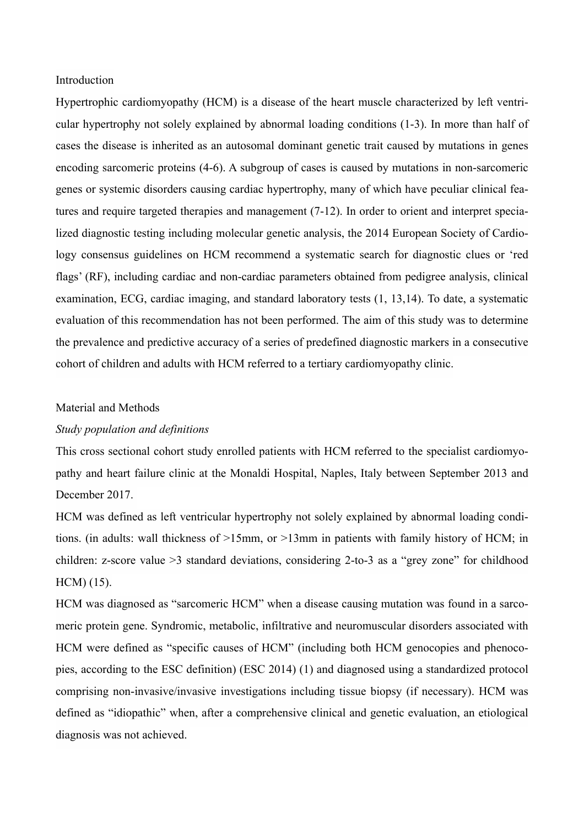### Introduction

Hypertrophic cardiomyopathy (HCM) is a disease of the heart muscle characterized by left ventricular hypertrophy not solely explained by abnormal loading conditions (1-3). In more than half of cases the disease is inherited as an autosomal dominant genetic trait caused by mutations in genes encoding sarcomeric proteins (4-6). A subgroup of cases is caused by mutations in non-sarcomeric genes or systemic disorders causing cardiac hypertrophy, many of which have peculiar clinical features and require targeted therapies and management (7-12). In order to orient and interpret specialized diagnostic testing including molecular genetic analysis, the 2014 European Society of Cardiology consensus guidelines on HCM recommend a systematic search for diagnostic clues or 'red flags' (RF), including cardiac and non-cardiac parameters obtained from pedigree analysis, clinical examination, ECG, cardiac imaging, and standard laboratory tests (1, 13,14). To date, a systematic evaluation of this recommendation has not been performed. The aim of this study was to determine the prevalence and predictive accuracy of a series of predefined diagnostic markers in a consecutive cohort of children and adults with HCM referred to a tertiary cardiomyopathy clinic.

#### Material and Methods

# *Study population and definitions*

This cross sectional cohort study enrolled patients with HCM referred to the specialist cardiomyopathy and heart failure clinic at the Monaldi Hospital, Naples, Italy between September 2013 and December 2017.

HCM was defined as left ventricular hypertrophy not solely explained by abnormal loading conditions. (in adults: wall thickness of >15mm, or >13mm in patients with family history of HCM; in children: z-score value >3 standard deviations, considering 2-to-3 as a "grey zone" for childhood HCM) (15).

HCM was diagnosed as "sarcomeric HCM" when a disease causing mutation was found in a sarcomeric protein gene. Syndromic, metabolic, infiltrative and neuromuscular disorders associated with HCM were defined as "specific causes of HCM" (including both HCM genocopies and phenocopies, according to the ESC definition) (ESC 2014) (1) and diagnosed using a standardized protocol comprising non-invasive/invasive investigations including tissue biopsy (if necessary). HCM was defined as "idiopathic" when, after a comprehensive clinical and genetic evaluation, an etiological diagnosis was not achieved.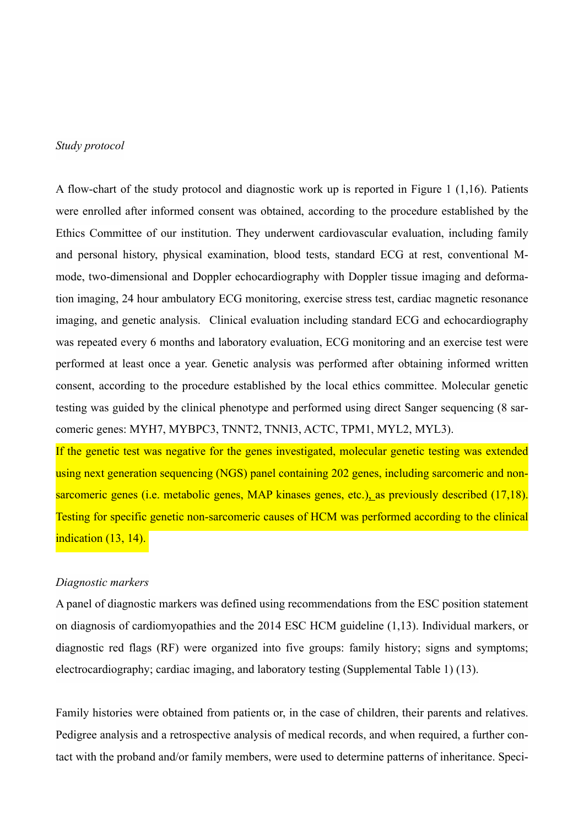### *Study protocol*

A flow-chart of the study protocol and diagnostic work up is reported in Figure 1 (1,16). Patients were enrolled after informed consent was obtained, according to the procedure established by the Ethics Committee of our institution. They underwent cardiovascular evaluation, including family and personal history, physical examination, blood tests, standard ECG at rest, conventional Mmode, two-dimensional and Doppler echocardiography with Doppler tissue imaging and deformation imaging, 24 hour ambulatory ECG monitoring, exercise stress test, cardiac magnetic resonance imaging, and genetic analysis. Clinical evaluation including standard ECG and echocardiography was repeated every 6 months and laboratory evaluation, ECG monitoring and an exercise test were performed at least once a year. Genetic analysis was performed after obtaining informed written consent, according to the procedure established by the local ethics committee. Molecular genetic testing was guided by the clinical phenotype and performed using direct Sanger sequencing (8 sarcomeric genes: MYH7, MYBPC3, TNNT2, TNNI3, ACTC, TPM1, MYL2, MYL3).

If the genetic test was negative for the genes investigated, molecular genetic testing was extended using next generation sequencing (NGS) panel containing 202 genes, including sarcomeric and nonsarcomeric genes (i.e. metabolic genes, MAP kinases genes, etc.), as previously described (17,18). Testing for specific genetic non-sarcomeric causes of HCM was performed according to the clinical indication (13, 14).

### *Diagnostic markers*

A panel of diagnostic markers was defined using recommendations from the ESC position statement on diagnosis of cardiomyopathies and the 2014 ESC HCM guideline (1,13). Individual markers, or diagnostic red flags (RF) were organized into five groups: family history; signs and symptoms; electrocardiography; cardiac imaging, and laboratory testing (Supplemental Table 1) (13).

Family histories were obtained from patients or, in the case of children, their parents and relatives. Pedigree analysis and a retrospective analysis of medical records, and when required, a further contact with the proband and/or family members, were used to determine patterns of inheritance. Speci-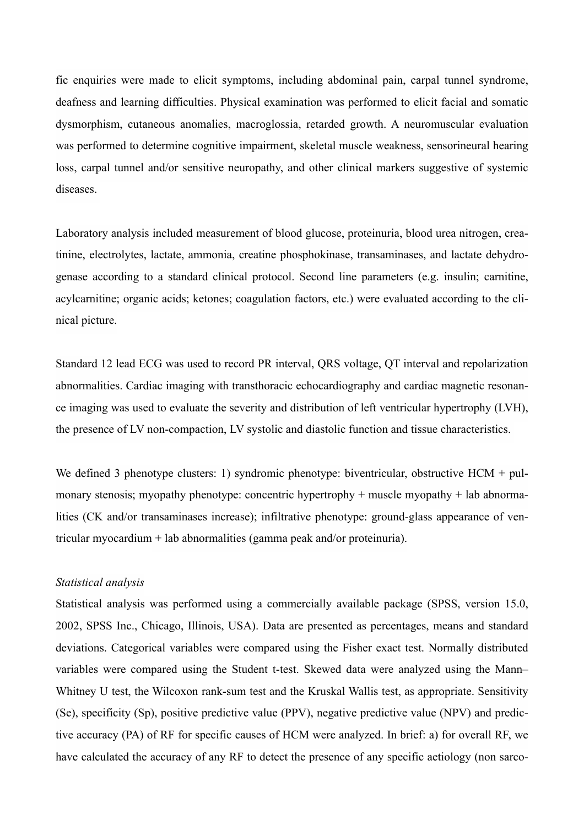fic enquiries were made to elicit symptoms, including abdominal pain, carpal tunnel syndrome, deafness and learning difficulties. Physical examination was performed to elicit facial and somatic dysmorphism, cutaneous anomalies, macroglossia, retarded growth. A neuromuscular evaluation was performed to determine cognitive impairment, skeletal muscle weakness, sensorineural hearing loss, carpal tunnel and/or sensitive neuropathy, and other clinical markers suggestive of systemic diseases.

Laboratory analysis included measurement of blood glucose, proteinuria, blood urea nitrogen, creatinine, electrolytes, lactate, ammonia, creatine phosphokinase, transaminases, and lactate dehydrogenase according to a standard clinical protocol. Second line parameters (e.g. insulin; carnitine, acylcarnitine; organic acids; ketones; coagulation factors, etc.) were evaluated according to the clinical picture.

Standard 12 lead ECG was used to record PR interval, QRS voltage, QT interval and repolarization abnormalities. Cardiac imaging with transthoracic echocardiography and cardiac magnetic resonance imaging was used to evaluate the severity and distribution of left ventricular hypertrophy (LVH), the presence of LV non-compaction, LV systolic and diastolic function and tissue characteristics.

We defined 3 phenotype clusters: 1) syndromic phenotype: biventricular, obstructive HCM + pulmonary stenosis; myopathy phenotype: concentric hypertrophy + muscle myopathy + lab abnormalities (CK and/or transaminases increase); infiltrative phenotype: ground-glass appearance of ventricular myocardium + lab abnormalities (gamma peak and/or proteinuria).

### *Statistical analysis*

Statistical analysis was performed using a commercially available package (SPSS, version 15.0, 2002, SPSS Inc., Chicago, Illinois, USA). Data are presented as percentages, means and standard deviations. Categorical variables were compared using the Fisher exact test. Normally distributed variables were compared using the Student t-test. Skewed data were analyzed using the Mann– Whitney U test, the Wilcoxon rank-sum test and the Kruskal Wallis test, as appropriate. Sensitivity (Se), specificity (Sp), positive predictive value (PPV), negative predictive value (NPV) and predictive accuracy (PA) of RF for specific causes of HCM were analyzed. In brief: a) for overall RF, we have calculated the accuracy of any RF to detect the presence of any specific aetiology (non sarco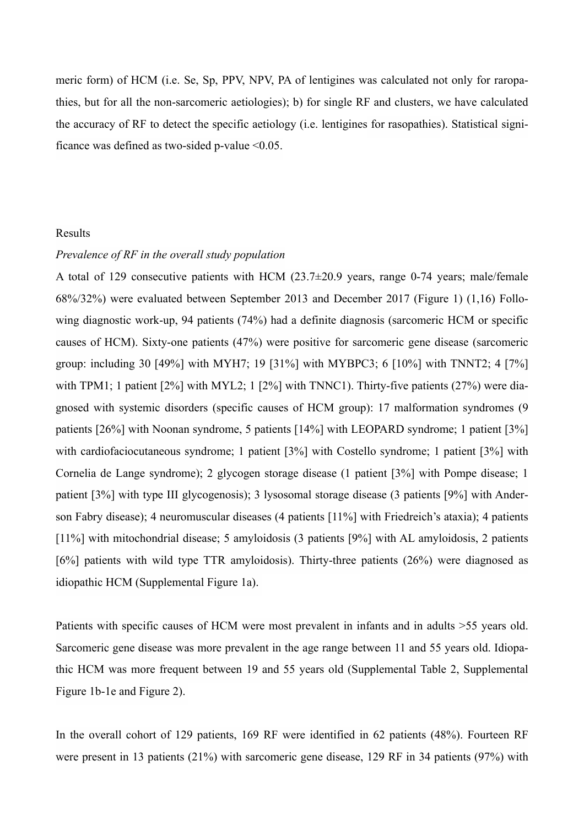meric form) of HCM (i.e. Se, Sp, PPV, NPV, PA of lentigines was calculated not only for raropathies, but for all the non-sarcomeric aetiologies); b) for single RF and clusters, we have calculated the accuracy of RF to detect the specific aetiology (i.e. lentigines for rasopathies). Statistical significance was defined as two-sided p-value  $\leq 0.05$ .

### Results

# *Prevalence of RF in the overall study population*

A total of 129 consecutive patients with HCM (23.7±20.9 years, range 0-74 years; male/female 68%/32%) were evaluated between September 2013 and December 2017 (Figure 1) (1,16) Following diagnostic work-up, 94 patients (74%) had a definite diagnosis (sarcomeric HCM or specific causes of HCM). Sixty-one patients (47%) were positive for sarcomeric gene disease (sarcomeric group: including 30 [49%] with MYH7; 19 [31%] with MYBPC3; 6 [10%] with TNNT2; 4 [7%] with TPM1; 1 patient [2%] with MYL2; 1 [2%] with TNNC1). Thirty-five patients (27%) were diagnosed with systemic disorders (specific causes of HCM group): 17 malformation syndromes (9 patients [26%] with Noonan syndrome, 5 patients [14%] with LEOPARD syndrome; 1 patient [3%] with cardiofaciocutaneous syndrome; 1 patient [3%] with Costello syndrome; 1 patient [3%] with Cornelia de Lange syndrome); 2 glycogen storage disease (1 patient [3%] with Pompe disease; 1 patient [3%] with type III glycogenosis); 3 lysosomal storage disease (3 patients [9%] with Anderson Fabry disease); 4 neuromuscular diseases (4 patients [11%] with Friedreich's ataxia); 4 patients [11%] with mitochondrial disease; 5 amyloidosis (3 patients [9%] with AL amyloidosis, 2 patients [6%] patients with wild type TTR amyloidosis). Thirty-three patients (26%) were diagnosed as idiopathic HCM (Supplemental Figure 1a).

Patients with specific causes of HCM were most prevalent in infants and in adults >55 years old. Sarcomeric gene disease was more prevalent in the age range between 11 and 55 years old. Idiopathic HCM was more frequent between 19 and 55 years old (Supplemental Table 2, Supplemental Figure 1b-1e and Figure 2).

In the overall cohort of 129 patients, 169 RF were identified in 62 patients (48%). Fourteen RF were present in 13 patients (21%) with sarcomeric gene disease, 129 RF in 34 patients (97%) with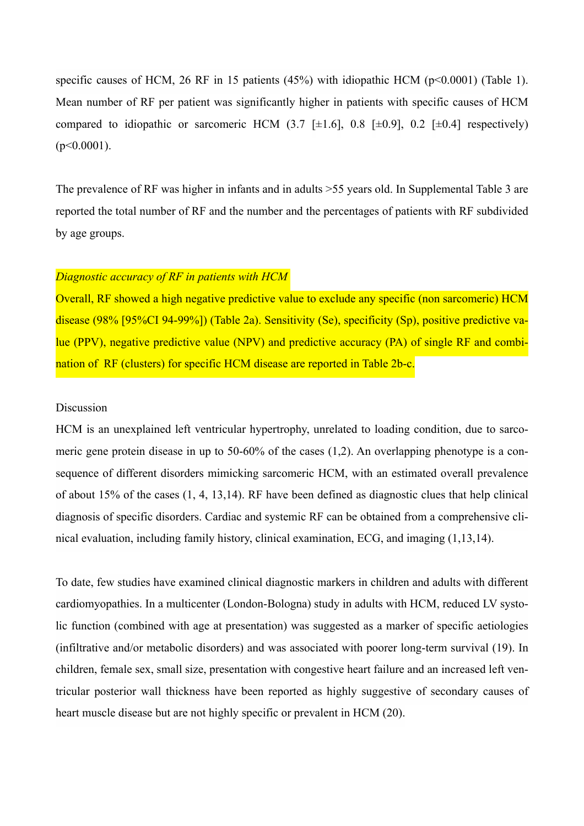specific causes of HCM, 26 RF in 15 patients  $(45%)$  with idiopathic HCM (p<0.0001) (Table 1). Mean number of RF per patient was significantly higher in patients with specific causes of HCM compared to idiopathic or sarcomeric HCM  $(3.7 \pm 1.6)$ , 0.8  $\pm 0.9$ , 0.2  $\pm 0.4$ ] respectively)  $(p<0.0001)$ .

The prevalence of RF was higher in infants and in adults >55 years old. In Supplemental Table 3 are reported the total number of RF and the number and the percentages of patients with RF subdivided by age groups.

# *Diagnostic accuracy of RF in patients with HCM*

Overall, RF showed a high negative predictive value to exclude any specific (non sarcomeric) HCM disease (98% [95%CI 94-99%]) (Table 2a). Sensitivity (Se), specificity (Sp), positive predictive value (PPV), negative predictive value (NPV) and predictive accuracy (PA) of single RF and combination of RF (clusters) for specific HCM disease are reported in Table 2b-c.

# Discussion

HCM is an unexplained left ventricular hypertrophy, unrelated to loading condition, due to sarcomeric gene protein disease in up to 50-60% of the cases (1,2). An overlapping phenotype is a consequence of different disorders mimicking sarcomeric HCM, with an estimated overall prevalence of about 15% of the cases (1, 4, 13,14). RF have been defined as diagnostic clues that help clinical diagnosis of specific disorders. Cardiac and systemic RF can be obtained from a comprehensive clinical evaluation, including family history, clinical examination, ECG, and imaging (1,13,14).

To date, few studies have examined clinical diagnostic markers in children and adults with different cardiomyopathies. In a multicenter (London-Bologna) study in adults with HCM, reduced LV systolic function (combined with age at presentation) was suggested as a marker of specific aetiologies (infiltrative and/or metabolic disorders) and was associated with poorer long-term survival (19). In children, female sex, small size, presentation with congestive heart failure and an increased left ventricular posterior wall thickness have been reported as highly suggestive of secondary causes of heart muscle disease but are not highly specific or prevalent in HCM (20).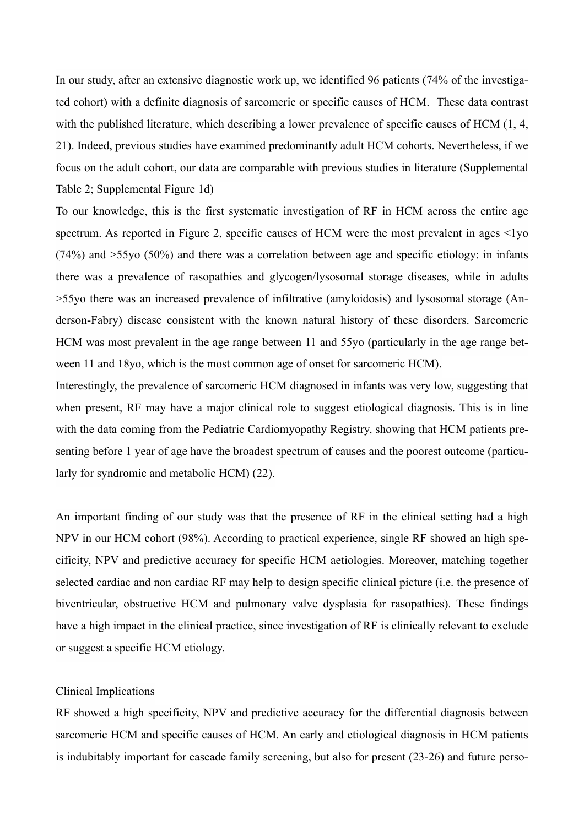In our study, after an extensive diagnostic work up, we identified 96 patients (74% of the investigated cohort) with a definite diagnosis of sarcomeric or specific causes of HCM. These data contrast with the published literature, which describing a lower prevalence of specific causes of HCM  $(1, 4, 4)$ 21). Indeed, previous studies have examined predominantly adult HCM cohorts. Nevertheless, if we focus on the adult cohort, our data are comparable with previous studies in literature (Supplemental Table 2; Supplemental Figure 1d)

To our knowledge, this is the first systematic investigation of RF in HCM across the entire age spectrum. As reported in Figure 2, specific causes of HCM were the most prevalent in ages  $\leq 1$ vo (74%) and >55yo (50%) and there was a correlation between age and specific etiology: in infants there was a prevalence of rasopathies and glycogen/lysosomal storage diseases, while in adults >55yo there was an increased prevalence of infiltrative (amyloidosis) and lysosomal storage (Anderson-Fabry) disease consistent with the known natural history of these disorders. Sarcomeric HCM was most prevalent in the age range between 11 and 55yo (particularly in the age range between 11 and 18yo, which is the most common age of onset for sarcomeric HCM).

Interestingly, the prevalence of sarcomeric HCM diagnosed in infants was very low, suggesting that when present, RF may have a major clinical role to suggest etiological diagnosis. This is in line with the data coming from the Pediatric Cardiomyopathy Registry, showing that HCM patients presenting before 1 year of age have the broadest spectrum of causes and the poorest outcome (particularly for syndromic and metabolic HCM) (22).

An important finding of our study was that the presence of RF in the clinical setting had a high NPV in our HCM cohort (98%). According to practical experience, single RF showed an high specificity, NPV and predictive accuracy for specific HCM aetiologies. Moreover, matching together selected cardiac and non cardiac RF may help to design specific clinical picture (i.e. the presence of biventricular, obstructive HCM and pulmonary valve dysplasia for rasopathies). These findings have a high impact in the clinical practice, since investigation of RF is clinically relevant to exclude or suggest a specific HCM etiology.

#### Clinical Implications

RF showed a high specificity, NPV and predictive accuracy for the differential diagnosis between sarcomeric HCM and specific causes of HCM. An early and etiological diagnosis in HCM patients is indubitably important for cascade family screening, but also for present (23-26) and future perso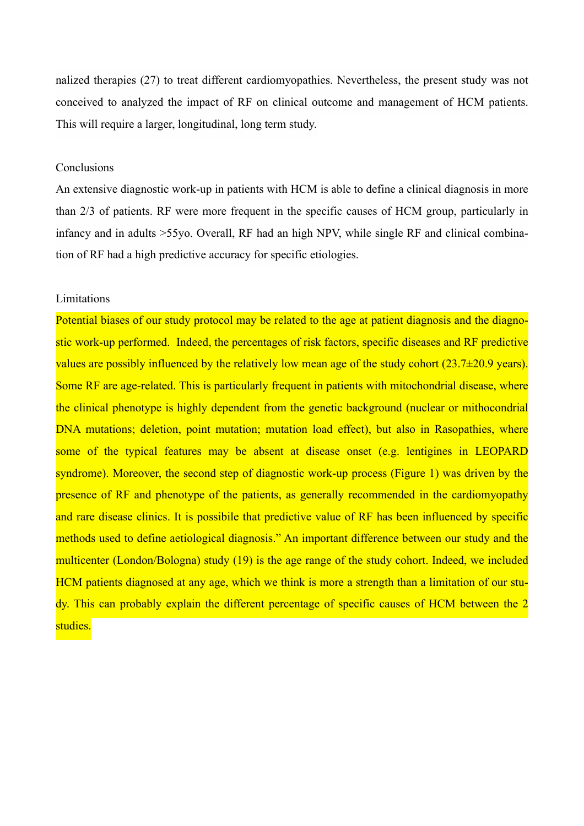nalized therapies (27) to treat different cardiomyopathies. Nevertheless, the present study was not conceived to analyzed the impact of RF on clinical outcome and management of HCM patients. This will require a larger, longitudinal, long term study.

## **Conclusions**

An extensive diagnostic work-up in patients with HCM is able to define a clinical diagnosis in more than 2/3 of patients. RF were more frequent in the specific causes of HCM group, particularly in infancy and in adults >55yo. Overall, RF had an high NPV, while single RF and clinical combination of RF had a high predictive accuracy for specific etiologies.

# Limitations

Potential biases of our study protocol may be related to the age at patient diagnosis and the diagnostic work-up performed. Indeed, the percentages of risk factors, specific diseases and RF predictive values are possibly influenced by the relatively low mean age of the study cohort  $(23.7\pm 20.9 \text{ years})$ . Some RF are age-related. This is particularly frequent in patients with mitochondrial disease, where the clinical phenotype is highly dependent from the genetic background (nuclear or mithocondrial DNA mutations; deletion, point mutation; mutation load effect), but also in Rasopathies, where some of the typical features may be absent at disease onset (e.g. lentigines in LEOPARD syndrome). Moreover, the second step of diagnostic work-up process (Figure 1) was driven by the presence of RF and phenotype of the patients, as generally recommended in the cardiomyopathy and rare disease clinics. It is possibile that predictive value of RF has been influenced by specific methods used to define aetiological diagnosis." An important difference between our study and the multicenter (London/Bologna) study (19) is the age range of the study cohort. Indeed, we included HCM patients diagnosed at any age, which we think is more a strength than a limitation of our study. This can probably explain the different percentage of specific causes of HCM between the 2 studies.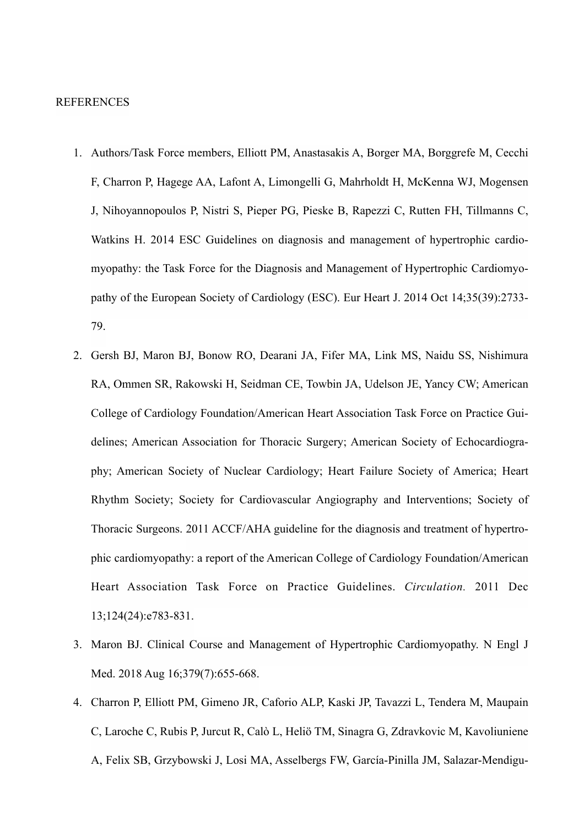### REFERENCES

- 1. Authors/Task Force members, Elliott PM, Anastasakis A, Borger MA, Borggrefe M, Cecchi F, Charron P, Hagege AA, Lafont A, Limongelli G, Mahrholdt H, McKenna WJ, Mogensen J, Nihoyannopoulos P, Nistri S, Pieper PG, Pieske B, Rapezzi C, Rutten FH, Tillmanns C, Watkins H. 2014 ESC Guidelines on diagnosis and management of hypertrophic cardiomyopathy: the Task Force for the Diagnosis and Management of Hypertrophic Cardiomyopathy of the European Society of Cardiology (ESC). Eur Heart J. 2014 Oct 14;35(39):2733- 79.
- 2. Gersh BJ, Maron BJ, Bonow RO, Dearani JA, Fifer MA, Link MS, Naidu SS, Nishimura RA, Ommen SR, Rakowski H, Seidman CE, Towbin JA, Udelson JE, Yancy CW; American College of Cardiology Foundation/American Heart Association Task Force on Practice Guidelines; American Association for Thoracic Surgery; American Society of Echocardiography; American Society of Nuclear Cardiology; Heart Failure Society of America; Heart Rhythm Society; Society for Cardiovascular Angiography and Interventions; Society of Thoracic Surgeons. 2011 ACCF/AHA guideline for the diagnosis and treatment of hypertrophic cardiomyopathy: a report of the American College of Cardiology Foundation/American Heart Association Task Force on Practice Guidelines. *Circulation.* 2011 Dec 13;124(24):e783-831.
- 3. Maron BJ. Clinical Course and Management of Hypertrophic Cardiomyopathy. N Engl J Med. 2018 Aug 16;379(7):655-668.
- 4. Charron P, Elliott PM, Gimeno JR, Caforio ALP, Kaski JP, Tavazzi L, Tendera M, Maupain C, Laroche C, Rubis P, Jurcut R, Calò L, Heliö TM, Sinagra G, Zdravkovic M, Kavoliuniene A, Felix SB, Grzybowski J, Losi MA, Asselbergs FW, García-Pinilla JM, Salazar-Mendigu-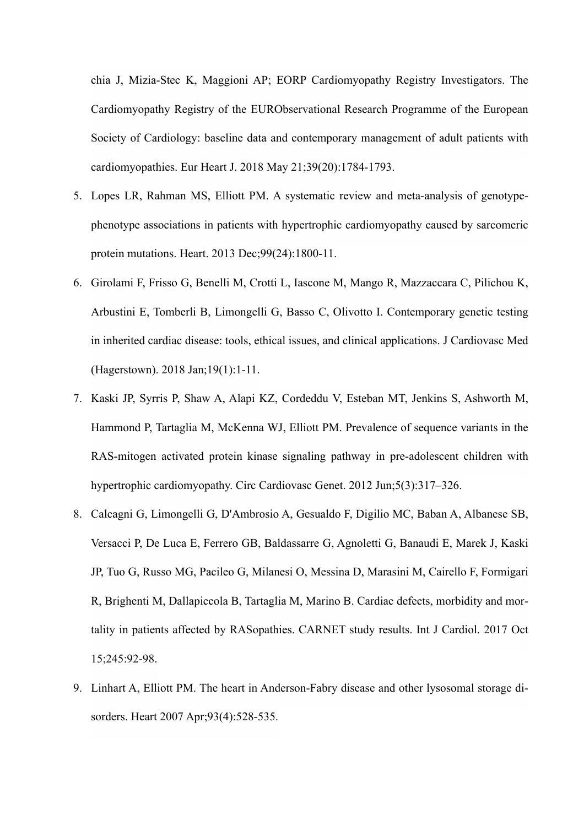chia J, Mizia-Stec K, Maggioni AP; EORP Cardiomyopathy Registry Investigators. The Cardiomyopathy Registry of the EURObservational Research Programme of the European Society of Cardiology: baseline data and contemporary management of adult patients with cardiomyopathies. Eur Heart J. 2018 May 21;39(20):1784-1793.

- 5. Lopes LR, Rahman MS, Elliott PM. A systematic review and meta-analysis of genotypephenotype associations in patients with hypertrophic cardiomyopathy caused by sarcomeric protein mutations. Heart. 2013 Dec;99(24):1800-11.
- 6. Girolami F, Frisso G, Benelli M, Crotti L, Iascone M, Mango R, Mazzaccara C, Pilichou K, Arbustini E, Tomberli B, Limongelli G, Basso C, Olivotto I. Contemporary genetic testing in inherited cardiac disease: tools, ethical issues, and clinical applications. J Cardiovasc Med (Hagerstown). 2018 Jan;19(1):1-11.
- 7. Kaski JP, Syrris P, Shaw A, Alapi KZ, Cordeddu V, Esteban MT, Jenkins S, Ashworth M, Hammond P, Tartaglia M, McKenna WJ, Elliott PM. Prevalence of sequence variants in the RAS-mitogen activated protein kinase signaling pathway in pre-adolescent children with hypertrophic cardiomyopathy. Circ Cardiovasc Genet. 2012 Jun;5(3):317–326.
- 8. Calcagni G, Limongelli G, D'Ambrosio A, Gesualdo F, Digilio MC, Baban A, Albanese SB, Versacci P, De Luca E, Ferrero GB, Baldassarre G, Agnoletti G, Banaudi E, Marek J, Kaski JP, Tuo G, Russo MG, Pacileo G, Milanesi O, Messina D, Marasini M, Cairello F, Formigari R, Brighenti M, Dallapiccola B, Tartaglia M, Marino B. Cardiac defects, morbidity and mortality in patients affected by RASopathies. CARNET study results. Int J Cardiol. 2017 Oct 15;245:92-98.
- 9. Linhart A, Elliott PM. The heart in Anderson-Fabry disease and other lysosomal storage disorders. Heart 2007 Apr;93(4):528-535.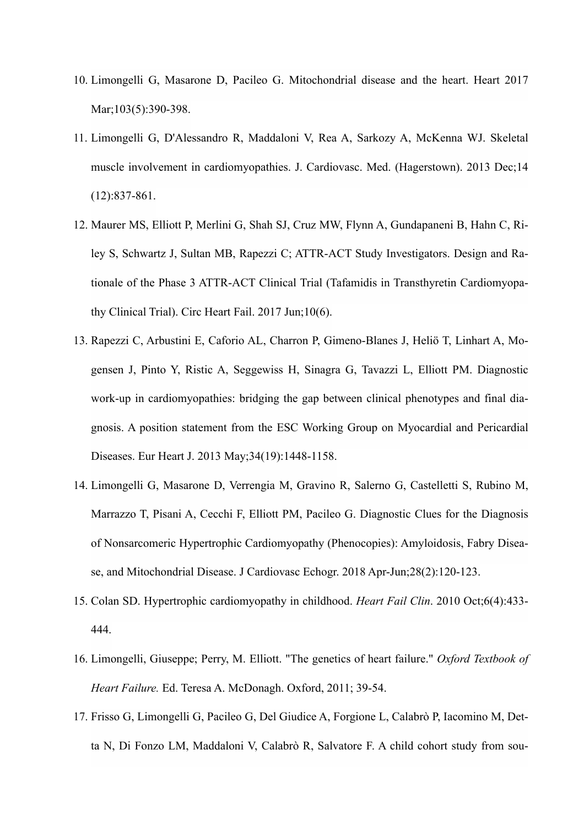- 10. Limongelli G, Masarone D, Pacileo G. Mitochondrial disease and the heart. Heart 2017 Mar;103(5):390-398.
- 11. Limongelli G, D'Alessandro R, Maddaloni V, Rea A, Sarkozy A, McKenna WJ. Skeletal muscle involvement in cardiomyopathies. J. Cardiovasc. Med. (Hagerstown). 2013 Dec;14 (12):837-861.
- 12. Maurer MS, Elliott P, Merlini G, Shah SJ, Cruz MW, Flynn A, Gundapaneni B, Hahn C, Riley S, Schwartz J, Sultan MB, Rapezzi C; ATTR-ACT Study Investigators. Design and Rationale of the Phase 3 ATTR-ACT Clinical Trial (Tafamidis in Transthyretin Cardiomyopathy Clinical Trial). Circ Heart Fail. 2017 Jun;10(6).
- 13. Rapezzi C, Arbustini E, Caforio AL, Charron P, Gimeno-Blanes J, Heliö T, Linhart A, Mogensen J, Pinto Y, Ristic A, Seggewiss H, Sinagra G, Tavazzi L, Elliott PM. Diagnostic work-up in cardiomyopathies: bridging the gap between clinical phenotypes and final diagnosis. A position statement from the ESC Working Group on Myocardial and Pericardial Diseases. Eur Heart J. 2013 May;34(19):1448-1158.
- 14. Limongelli G, Masarone D, Verrengia M, Gravino R, Salerno G, Castelletti S, Rubino M, Marrazzo T, Pisani A, Cecchi F, Elliott PM, Pacileo G. Diagnostic Clues for the Diagnosis of Nonsarcomeric Hypertrophic Cardiomyopathy (Phenocopies): Amyloidosis, Fabry Disease, and Mitochondrial Disease. J Cardiovasc Echogr. 2018 Apr-Jun;28(2):120-123.
- 15. Colan SD. Hypertrophic cardiomyopathy in childhood. *Heart Fail Clin*. 2010 Oct;6(4):433- 444.
- 16. Limongelli, Giuseppe; Perry, M. Elliott. "The genetics of heart failure." *Oxford Textbook of Heart Failure.* Ed. Teresa A. McDonagh. Oxford, 2011; 39-54.
- 17. Frisso G, Limongelli G, Pacileo G, Del Giudice A, Forgione L, Calabrò P, Iacomino M, Detta N, Di Fonzo LM, Maddaloni V, Calabrò R, Salvatore F. A child cohort study from sou-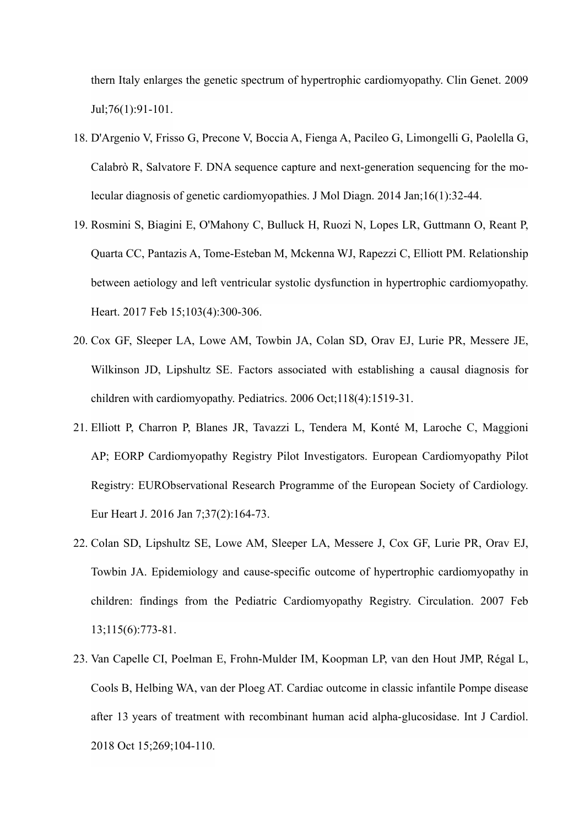thern Italy enlarges the genetic spectrum of hypertrophic cardiomyopathy. Clin Genet. 2009 Jul;76(1):91-101.

- 18. D'Argenio V, Frisso G, Precone V, Boccia A, Fienga A, Pacileo G, Limongelli G, Paolella G, Calabrò R, Salvatore F. DNA sequence capture and next-generation sequencing for the molecular diagnosis of genetic cardiomyopathies. J Mol Diagn. 2014 Jan;16(1):32-44.
- 19. Rosmini S, Biagini E, O'Mahony C, Bulluck H, Ruozi N, Lopes LR, Guttmann O, Reant P, Quarta CC, Pantazis A, Tome-Esteban M, Mckenna WJ, Rapezzi C, Elliott PM. Relationship between aetiology and left ventricular systolic dysfunction in hypertrophic cardiomyopathy. Heart. 2017 Feb 15;103(4):300-306.
- 20. Cox GF, Sleeper LA, Lowe AM, Towbin JA, Colan SD, Orav EJ, Lurie PR, Messere JE, Wilkinson JD, Lipshultz SE. Factors associated with establishing a causal diagnosis for children with cardiomyopathy. Pediatrics. 2006 Oct;118(4):1519-31.
- 21. Elliott P, Charron P, Blanes JR, Tavazzi L, Tendera M, Konté M, Laroche C, Maggioni AP; EORP Cardiomyopathy Registry Pilot Investigators. European Cardiomyopathy Pilot Registry: EURObservational Research Programme of the European Society of Cardiology. Eur Heart J. 2016 Jan 7;37(2):164-73.
- 22. Colan SD, Lipshultz SE, Lowe AM, Sleeper LA, Messere J, Cox GF, Lurie PR, Orav EJ, Towbin JA. Epidemiology and cause-specific outcome of hypertrophic cardiomyopathy in children: findings from the Pediatric Cardiomyopathy Registry. Circulation. 2007 Feb 13;115(6):773-81.
- 23. Van Capelle CI, Poelman E, Frohn-Mulder IM, Koopman LP, van den Hout JMP, Régal L, Cools B, Helbing WA, van der Ploeg AT. Cardiac outcome in classic infantile Pompe disease after 13 years of treatment with recombinant human acid alpha-glucosidase. Int J Cardiol. 2018 Oct 15;269;104-110.